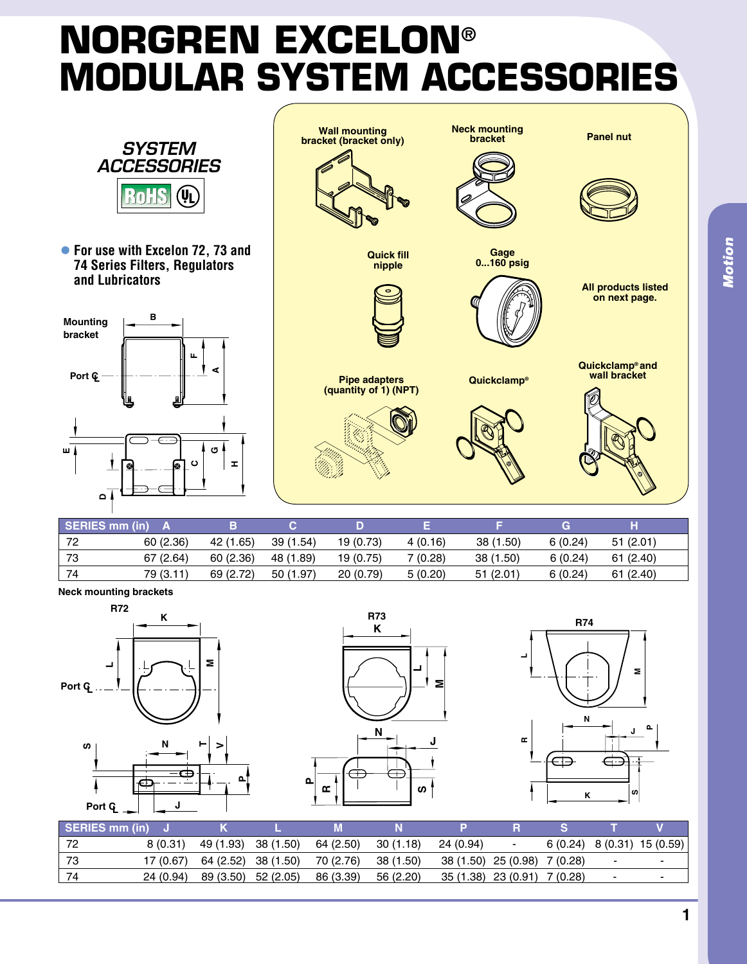## **Norgren Excelon® MODULAR SYSTEM ACCESSORIE**



**• For use with Excelon 72, 73 and 74 Series Filters, Regulators and Lubricators**





| SERIES mm (in) |           |           |           |           |         |           | G       |          |
|----------------|-----------|-----------|-----------|-----------|---------|-----------|---------|----------|
| 72             | 60(2.36)  | 42 (1.65) | 39 (1.54) | 19 (0.73) | 4(0.16) | 38 (1.50) | 6(0.24) | 51(2.01) |
| 73             | 67 (2.64) | 60(2.36)  | 48 (1.89) | 19 (0.75) | 7(0.28) | 38 (1.50) | 6(0.24) | 61(2.40) |
|                | 79 (3.11) | 69 (2.72) | 50 (1.97) | 20(0.79)  | 5(0.20) | 51(2.01)  | 6(0.24) | 61(2.40) |

**Neck mounting brackets**









| SERIES mm (in) |           |                                | м                   |           |                              |                              |        |                              |
|----------------|-----------|--------------------------------|---------------------|-----------|------------------------------|------------------------------|--------|------------------------------|
| ' 72           | 8(0.31)   | 49 (1.93) 38 (1.50)            | 64 (2.50)           | 30 (1.18) | 24 (0.94)                    | $\overline{\phantom{a}}$     |        | $6(0.24)$ 8 (0.31) 15 (0.59) |
| - 73           |           | $17(0.67)$ 64 (2.52) 38 (1.50) | 70 (2.76) 38 (1.50) |           | 38 (1.50) 25 (0.98) 7 (0.28) |                              | ٠      |                              |
|                | 24 (0.94) | 89 (3.50) 52 (2.05)            | 86 (3.39)           | 56 (2.20) |                              | 35 (1.38) 23 (0.91) 7 (0.28) | $\sim$ |                              |

**P**